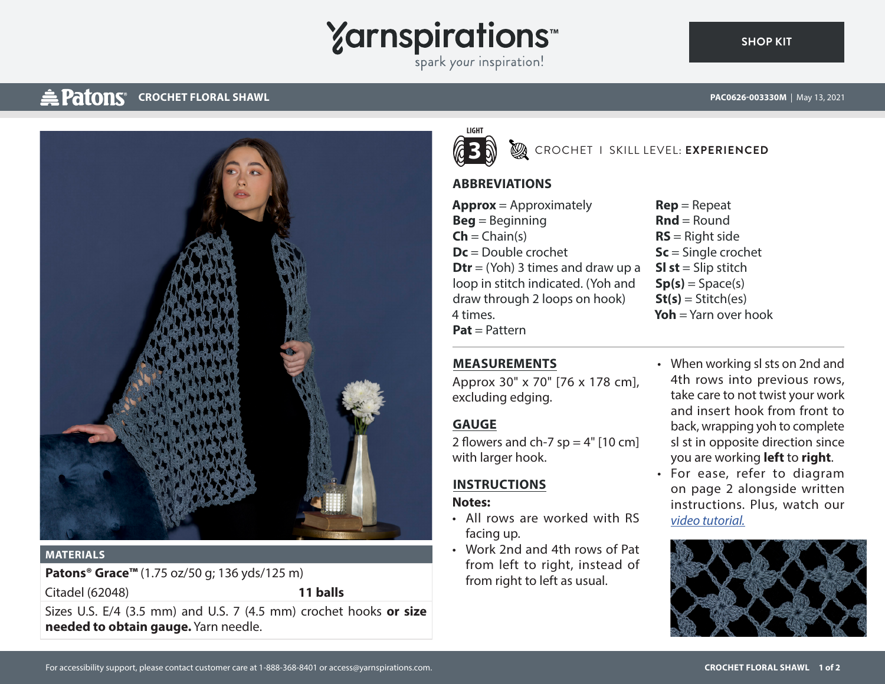# **Yarnspirations**

spark your inspiration!

## **CROCHET FLORAL SHAWL ACCOUNTY AND RECORDED TO A RECORD TO A RECORD PAC0626-003330M** | May 13, 2021

**[SHOP KIT](https://www.yarnspirations.com/PAC0626-003330M.html#utm_source=pdf-yarnspirations&utm_medium=referral)**



#### **MATERIALS**

**Patons® Grace™** (1.75 oz/50 g; 136 yds/125 m)

Citadel (62048) **11 balls**

Sizes U.S. E/4 (3.5 mm) and U.S. 7 (4.5 mm) crochet hooks **or size needed to obtain gauge.** Yarn needle.



**3** CROCHET I SKILL LEVEL: **EXPERIENCED**

#### **ABBREVIATIONS**

- **Approx** = Approximately **Beg** = Beginning  $\mathsf{Ch} = \mathsf{Chain}(s)$ **Dc** = Double crochet **Dtr** = (Yoh) 3 times and draw up a loop in stitch indicated. (Yoh and draw through 2 loops on hook) 4 times. **Pat** = Pattern
- **Rep** = Repeat  $\mathbf{R}\mathbf{n}\mathbf{d} = \text{Round}$ **RS** = Right side **Sc** = Single crochet **SI st** = Slip stitch  $Sp(s) = Space(s)$ **St(s)** = Stitch(es) **Yoh** = Yarn over hook

### **MEASUREMENTS**

Approx 30" x 70" [76 x 178 cm], excluding edging.

### **GAUGE**

2 flowers and ch-7  $sp = 4"$  [10 cm] with larger hook.

### **INSTRUCTIONS**

#### **Notes:**

- All rows are worked with RS facing up.
- Work 2nd and 4th rows of Pat from left to right, instead of from right to left as usual.
- When working sl sts on 2nd and 4th rows into previous rows, take care to not twist your work and insert hook from front to back, wrapping yoh to complete sl st in opposite direction since you are working **left** to **right**.
- For ease, refer to diagram on page 2 alongside written instructions. Plus, watch our *[video tutorial.](https://www.youtube.com/watch?v=b5_13X5Eufs)*